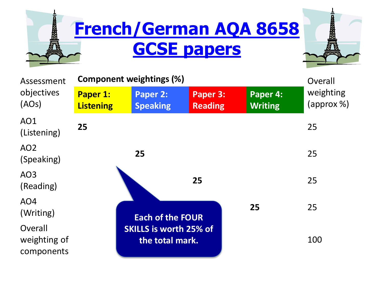

| Assessment<br>objectives<br>(AOs)     | <b>Component weightings (%)</b> |                                                  |                            |                            | Overall                              |
|---------------------------------------|---------------------------------|--------------------------------------------------|----------------------------|----------------------------|--------------------------------------|
|                                       | Paper 1:<br><b>Listening</b>    | Paper 2:<br><b>Speaking</b>                      | Paper 3:<br><b>Reading</b> | Paper 4:<br><b>Writing</b> | weighting<br>$\langle$ approx $\%$ ) |
| AO1<br>(Listening)                    | 25                              |                                                  |                            |                            | 25                                   |
| AO <sub>2</sub><br>(Speaking)         |                                 | 25                                               |                            |                            | 25                                   |
| AO <sub>3</sub><br>(Reading)          |                                 |                                                  | 25                         |                            | 25                                   |
| AO <sub>4</sub><br>(Writing)          |                                 | 25<br><b>Each of the FOUR</b>                    |                            |                            | 25                                   |
| Overall<br>weighting of<br>components |                                 | <b>SKILLS is worth 25% of</b><br>the total mark. | 100                        |                            |                                      |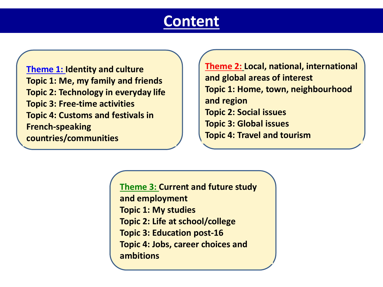#### **Content**

**Theme 1: Identity and culture Topic 1: Me, my family and friends Topic 2: Technology in everyday life Topic 3: Free-time activities Topic 4: Customs and festivals in French-speaking countries/communities**

**Theme 2: Local, national, international and global areas of interest Topic 1: Home, town, neighbourhood and region Topic 2: Social issues Topic 3: Global issues Topic 4: Travel and tourism**

**Theme 3: Current and future study and employment Topic 1: My studies Topic 2: Life at school/college Topic 3: Education post-16 Topic 4: Jobs, career choices and ambitions**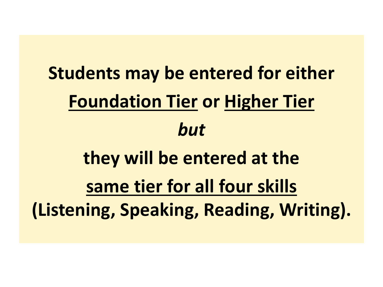**Students may be entered for either Foundation Tier or Higher Tier** *but* **they will be entered at the same tier for all four skills (Listening, Speaking, Reading, Writing).**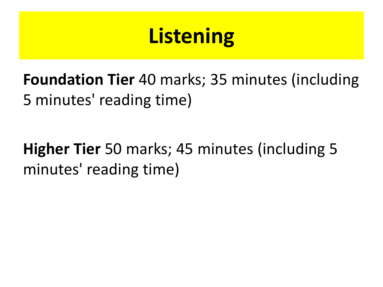# **Listening**

**Foundation Tier** 40 marks; 35 minutes (including 5 minutes' reading time)

### **Higher Tier** 50 marks; 45 minutes (including 5 minutes' reading time)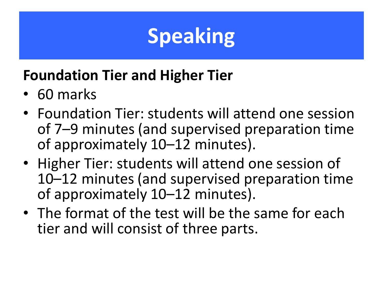## **Speaking**

#### **Foundation Tier and Higher Tier**

- 60 marks
- Foundation Tier: students will attend one session of 7–9 minutes (and supervised preparation time of approximately 10–12 minutes).
- Higher Tier: students will attend one session of 10–12 minutes (and supervised preparation time of approximately 10–12 minutes).
- The format of the test will be the same for each tier and will consist of three parts.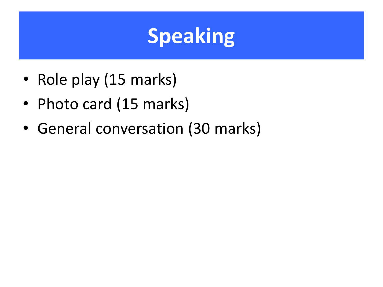## **Speaking**

- Role play (15 marks)
- Photo card (15 marks)
- General conversation (30 marks)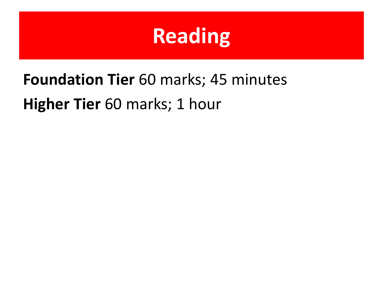## **Reading**

### **Foundation Tier** 60 marks; 45 minutes **Higher Tier** 60 marks; 1 hour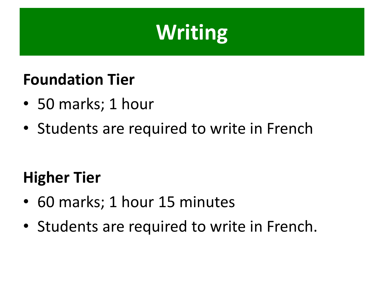## **Writing**

#### **Foundation Tier**

- 50 marks; 1 hour
- Students are required to write in French

#### **Higher Tier**

- 60 marks; 1 hour 15 minutes
- Students are required to write in French.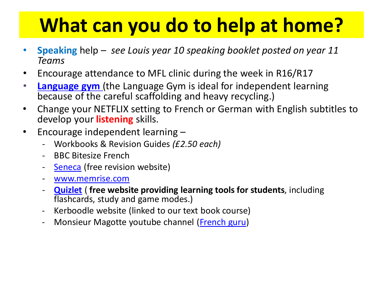### **What can you do to help at home?**

- **Speaking** help *see Louis year 10 speaking booklet posted on year 11 Teams*
- Encourage attendance to MFL clinic during the week in R16/R17
- **[Language gym](https://www.language-gym.com/)** (the Language Gym is ideal for independent learning because of the careful scaffolding and heavy recycling.)
- Change your NETFLIX setting to French or German with English subtitles to develop your **listening** skills.
- Encourage independent learning
	- Workbooks & Revision Guides *(£2.50 each)*
	- BBC Bitesize French
	- [Seneca](https://senecalearning.com/en-GB/) (free revision website)
	- [www.memrise.com](http://www.memrise.com/)
	- **[Quizlet](https://quizlet.com/)** ( **free website providing learning tools for students**, including flashcards, study and game modes.)
	- Kerboodle website (linked to our text book course)
	- Monsieur Magotte youtube channel [\(French guru\)](https://www.youtube.com/channel/UCrYLnDclG76STkE_OznEVVg)